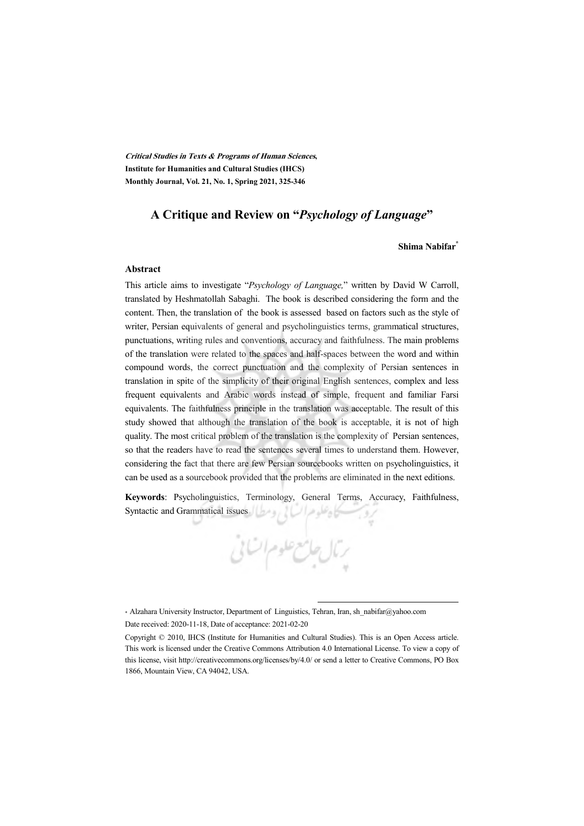**Critical Studies in Texts & Programs of Human Sciences, Institute for Humanities and Cultural Studies (IHCS) Monthly Journal, Vol. 21, No. 1, Spring 2021, 325-346** 

## **A Critique and Review on "***Psychology of Language***"**

**Shima Nabifar\***

#### **Abstract**

This article aims to investigate "*Psychology of Language,*" written by David W Carroll, translated by Heshmatollah Sabaghi. The book is described considering the form and the content. Then, the translation of the book is assessed based on factors such as the style of writer, Persian equivalents of general and psycholinguistics terms, grammatical structures, punctuations, writing rules and conventions, accuracy and faithfulness. The main problems of the translation were related to the spaces and half-spaces between the word and within compound words, the correct punctuation and the complexity of Persian sentences in translation in spite of the simplicity of their original English sentences, complex and less frequent equivalents and Arabic words instead of simple, frequent and familiar Farsi equivalents. The faithfulness principle in the translation was acceptable. The result of this study showed that although the translation of the book is acceptable, it is not of high quality. The most critical problem of the translation is the complexity of Persian sentences, so that the readers have to read the sentences several times to understand them. However, considering the fact that there are few Persian sourcebooks written on psycholinguistics, it can be used as a sourcebook provided that the problems are eliminated in the next editions.

**Keywords**: Psycholinguistics, Terminology, General Terms, Accuracy, Faithfulness, Syntactic and Grammatical issues



.

\* Alzahara University Instructor, Department of Linguistics, Tehran, Iran, sh\_nabifar@yahoo.com Date received: 2020-11-18, Date of acceptance: 2021-02-20

Copyright © 2010, IHCS (Institute for Humanities and Cultural Studies). This is an Open Access article. This work is licensed under the Creative Commons Attribution 4.0 International License. To view a copy of this license, visit http://creativecommons.org/licenses/by/4.0/ or send a letter to Creative Commons, PO Box 1866, Mountain View, CA 94042, USA.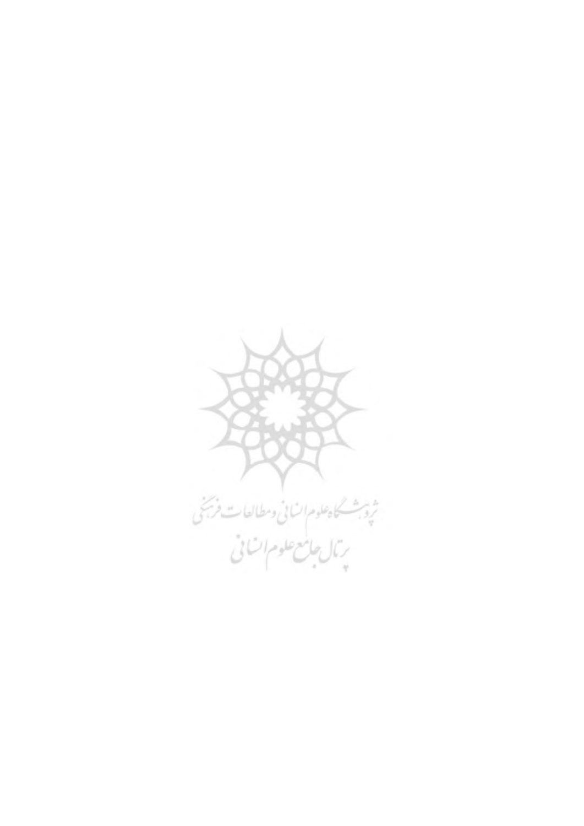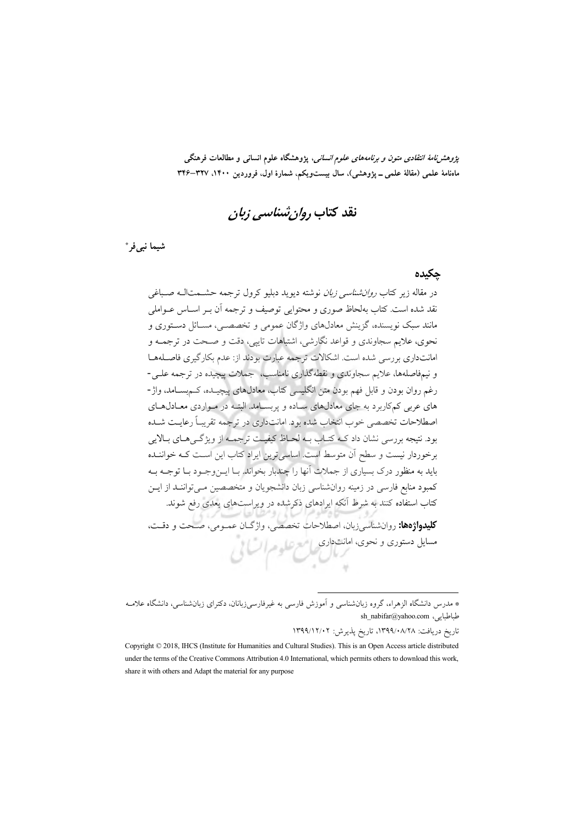*پژوهشنامهٔ انتقادی متون و برنامههای علوم انسانی*، پژوهشگاه علوم انسانی و مطالعات فرهنگی ماهنامهٔ علمی (مقالهٔ علمی ـ یژوهشی)، سال بیستویکم، شمارهٔ اول، فروردین ۴۲۰۰، ۳۲۷–۳۴۶

# نقد کتاب ر*وان شناسی زبان*

شيما نبيفر\*

### جكىدە

در مقاله زیر کتاب *روان شناسی زبان* نوشته دیوید دبلیو کرول ترجمه حشــمتالــه صــباغی نقد شده است. کتاب بهلحاظ صوری و محتوایی توصیف و ترجمه آن بـر اســاس عــواملی مانند سبک نویسنده، گزینش معادلهای واژگان عمومی و تخصصــی، مسـائل دســتوری و نحوی، علایم سجاوندی و قواعد نگارشی، اشتباهات تاییی، دقت و صـحت در ترجمـه و امانتداری بررسی شده است. اشکالات ترجمه عبارت بودند از: عدم بکارگیری فاصلهها و نیمفاصلهها، علایم سجاوندی و نقطهگذاری نامناسب، جملات پیچیده در ترجمه علـی-رغم روان بودن و قابل فهم بودن متن انگلیسی کتاب، معادلهای پیچیـده، کــمېســامد، واژ-های عربی کمکاربرد به جای معادلهای ساده و پربسامد. البتـه در مـواردی معـادلهـای اصطلاحات تخصصي خوب انتخاب شده بود. امانتداري در ترجمه تقريباً رعايت شـده بود. نتیجه بررسی نشان داد کـه کتـاب بـه لحـاظ کیفیـت ترجمـه از ویژگـی۵حـای بـالایی برخوردار نیست و سطح آن متوسط است. اساسی ترین ایراد کتاب این اسـت کـه خواننـده باید به منظور درک بسیاری از جملات آنها را چندبار بخواند. بـا ایــنوجــود بـا توجــه بــه کمبود منابع فارسی در زمینه روان شناسی زبان دانشجویان و متخصصین مـی تواننـد از ایـن کتاب استفاده کنند به شرط آنکه ایرادهای ذکرشده در ویراستهای بعدی رفع شوند. **كليدواژهها:** روانشناسي زبان، اصطلاحات تخصصي، واژگـان عمـومي، صـحت و دقـت، مسایل دستوری و نحوی، امانت داری با مع علوم السالق<br>مسایل دستوری و نحوی، امانت داری

تاریخ دریافت: ۱۳۹۹/۰۸/۲۸، تاریخ پذیرش: ۱۳۹۹/۱۲/۰۲

<sup>\*</sup> مدرس دانشگاه الزهراء، گروه زبانشناسی و آموزش فارسی به غیرفارسیزبانان، دکترای زبانشناسی، دانشگاه علامـه sh nabifar@yahoo.com , طباطبابی

Copyright © 2018, IHCS (Institute for Humanities and Cultural Studies). This is an Open Access article distributed under the terms of the Creative Commons Attribution 4.0 International, which permits others to download this work, share it with others and Adapt the material for any purpose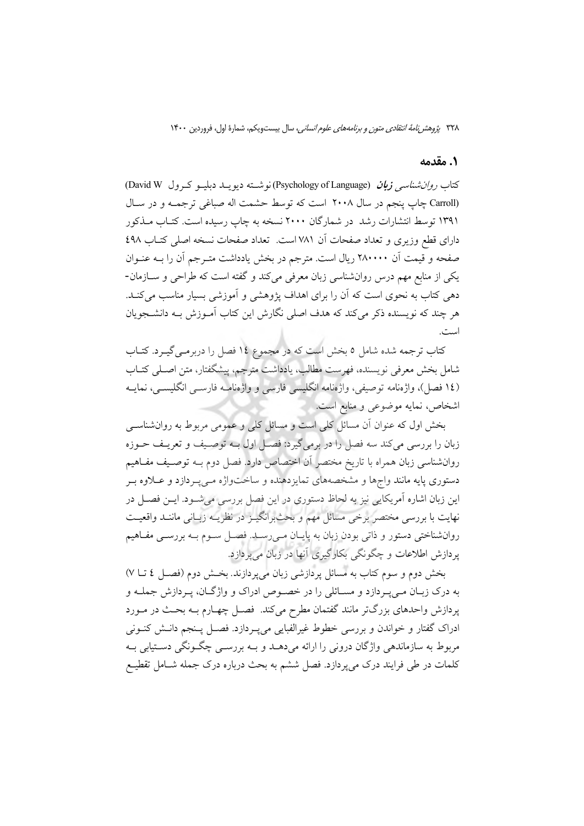#### 1. مقدمه

كتاب *روان شناسي زبان (*Psychology of Language) نوشـته ديويــد دبليــو كــرول W David W) (Carroll چاپ ينجم در سال ٢٠٠٨ است كه توسط حشمت اله صباغي ترجمـه و در سـال ۱۳۹۱ توسط انتشارات رشد ً در شمارگان ۲۰۰۰ نسخه به چاپ رسیده است. کتـاب مـذکور دارای قطع وزیری و تعداد صفحات آن ۷۸۱ است. تعداد صفحات نسخه اصلی کتـاب ٤٩٨ صفحه و قیمت آن ۲۸۰۰۰۰ ریال است. مترجم در بخش یادداشت متـرجم آن را بـه عنـوان یکی از منابع مهم درس روانشناسی زبان معرفی میکند و گفته است که طراحی و ســازمان-دهی کتاب به نحوی است که آن را برای اهداف پژوهشی و آموزشی بسیار مناسب میکند. هر چند که نویسنده ذکر میکند که هدف اصلی نگارش این کتاب آمـوزش بـه دانشــجویان است.

کتاب ترجمه شده شامل ۵ بخش است که در مجموع ۱٤ فصل را دربرمبی گیبرد. کتــاب شامل بخش معرفي نويسنده، فهرست مطالب، يادداشت مترجم، ييشگفتار، متن اصلي كتــاب (١٤ فصل)، واژەنامه توصیفی، واژەنامه انگلیسی فارسی و واژەنامــه فارســی انگلیســی، نمایــه اشخاص، نمايه موضوعي و منابع است.

بخش اول که عنوان آن مسائل کلی است و مسائل کلی و عمومی مربوط به روانشناسبی زبان را بررسی میکند سه فصل را در برمیگیرد: فصل اول بـه توصـیف و تعریـف حــوزه روانشناسی زبان همراه با تاریخ مختصر آن اختصاص دارد. فصل دوم بــه توصـیف مفــاهیم دستوری پایه مانند واجها و مشخصههای تمایزدهنده و ساختواژه مـی پـردازد و عــلاوه بـر این زبان اشاره آمریکایی نیز به لحاظ دستوری در این فصل بررسی میشـود. ایــن فصــل در نهایت با بررسی مختصر برخی مسائل مهم و بحثبرانگیـز در نظریــه زبــانی ماننــد واقعیــت روانشناختی دستور و ذاتی بودن زبان به پایــان مــی٫ســد. فصــل ســوم بــه بررســی مفــاهیم یردازش اطلاعات و چگونگی بکارگیری آنها در زبان می پردازد.

بخش دوم و سوم کتاب به مسائل پردازشی زبان می پردازند. بخش دوم (فصل ٤ تــا ٧) به درک زبـان مـی پـردازد و مســائلی را در خصــوص ادراک و واژگــان، پــردازش جملــه و پردازش واحدهای بزرگتر مانند گفتمان مطرح میکند. فصـل چهـارم بــه بحـث در مــورد ادراک گفتار و خواندن و بررسی خطوط غیرالفبایی می پـردازد. فصـل پـنجم دانـش کنــونی مربوط به سازماندهی واژگان درونی را ارائه میدهـد و بــه بررســی چگــونگی دســتیابی بــه کلمات در طی فرایند درک میپردازد. فصل ششم به بحث درباره درک جمله شـامل تقطیـع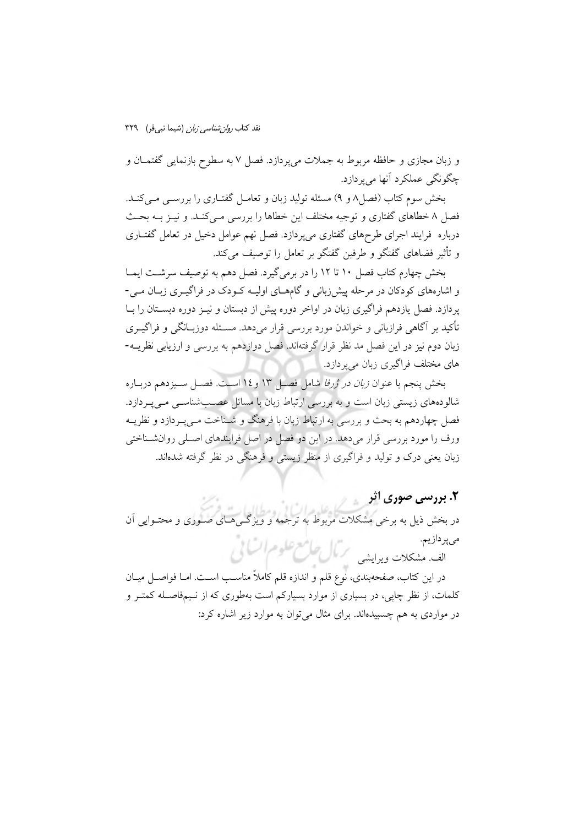و زبان مجازی و حافظه مربوط به جملات می پردازد. فصل ۷ به سطوح بازنمایی گفتمــان و چڱونگي عملکرد آنها مي پردازد.

بخش سوم کتاب (فصل۸ و ۹) مسئله تولید زبان و تعامـل گفتـاری را بررسـی مـیکنـد. فصل ٨ خطاهاي گفتاري و توجيه مختلف اين خطاها را بررسي مـي كنـد. و نيـز بــه بحـث درباره ً فرایند اجرای طرحهای گفتاری میپردازد. فصل نهم عوامل دخیل در تعامل گفتــاری و تأثیر فضاهای گفتگو و طرفین گفتگو بر تعامل را توصیف می کند.

بخش چهارم كتاب فصل ١٠ تا ١٢ را در برمي گيرد. فصل دهم به توصيف سرشت ايمـا و اشارههای کودکان در مرحله پیش زبانی و گامهـای اولیـه کـودک در فراگیـری زبـان مـی-یردازد. فصل یازدهم فراگیری زبان در اواخر دوره پیش از دبستان و نیـز دوره دبســتان را بــا تأکید بر آگاهی فرازبانی و خواندن مورد بررسی قرار می دهد. مسـئله دوزبــانگم و فراگیــری زبان دوم نیز در این فصل مد نظر قرار گرفتهاند. فصل دوازدهم به بررسی و ارزیابی نظریــه-های مختلف فراگیری زبان می پردازد.

.<br>بخش ينجم با عنوان *زبان در ژرفا* شامل فصــل ١٣ و١٤ اســت. فصــل ســيزدهم دربــاره شالودههای زیستی زبان است و به بررسی ارتباط زبان با مسائل عصب شناسبی مـی پـردازد. فصل چهاردهم به بحث و بررسی به ارتباط زبان با فرهنگ و شــناخت مــی بـردازد و نظریــه ورف را مورد بررسی قرار میدهد. در این دو فصل در اصل فرایندهای اصـلی روانشـناختی زبان یعنی درک و تولید و فراگیری از منظر زیستی و فرهنگی در نظر گرفته شدهاند.

۲. بررسی صوری اثر در بخش ذیل به برخی مشکلات مربوط به ترجمه و ویژگی هـای صـوری و محتـوایی آن مى پر دازيم. بربال جامع علوم السابي الف. مشكلات ويرايشي

در این کتاب، صفحهبندی، نوع قلم و اندازه قلم کاملاً مناسـب اسـت. امـا فواصــل میــان کلمات، از نظر چاپی، در بسیاری از موارد بسیارکم است بهطوری که از نـیمفاصـله کمتـر و در مواردی به هم چسبیدهاند. برای مثال میتوان به موارد زیر اشاره کرد: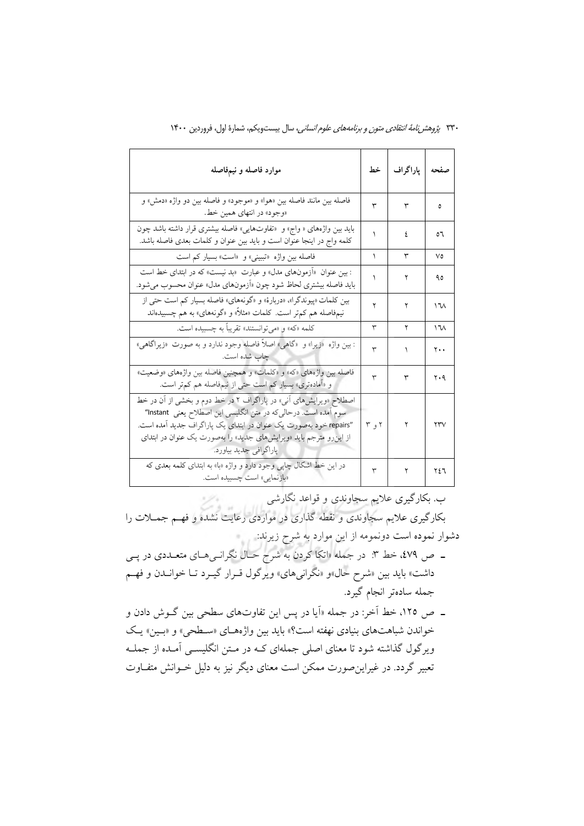| موارد فاصله و نیمفاصله                                                                                                                                                                                                                                                                                    |       | پاراگراف   خط | صفحه                      |
|-----------------------------------------------------------------------------------------------------------------------------------------------------------------------------------------------------------------------------------------------------------------------------------------------------------|-------|---------------|---------------------------|
| فاصله بين مانند فاصله بين «هوا» و «موجود» و فاصله بين دو واژه «دمش» و<br>«وجود» در انتهای همین خط.                                                                                                                                                                                                        | ٣     | ٣             | ٥                         |
| باید بین واژههای « واج» و  «تفاوتهایی» فاصله بیشتری قرار داشته باشد چون<br>کلمه واج در اینجا عنوان است و باید بین عنوان و کلمات بعدی فاصله باشد.                                                                                                                                                          | ١     | ٤             | ٥٦                        |
| فاصله بين واژه  «تببيني» و  «است» بسيار كم است                                                                                                                                                                                                                                                            | ١     | ٣             | ٧٥                        |
| : بین عنوان  «آزمونهای مدل» و عبارت  «بد نیست» که در ابتدای خط است<br>باید فاصله بیشتری لحاظ شود چون «اَزمونهای مدل» عنوان محسوب میشود.                                                                                                                                                                   | ١     | ٢             | ۹٥                        |
| بین کلمات «پیوندگرا»، «دربارهٔ» و «گونههای» فاصله بسیار کم است حتی از<br>نیمفاصله هم کم تر است. کلمات «مثلاً» و «گونههای» به هم چسبیدهاند                                                                                                                                                                 | ٢     | ۲             | ۱٦٨                       |
| کلمه «که» و «میتوانستند» تقریباً به چسبیده است.                                                                                                                                                                                                                                                           | ٣     | ۲             | ۱٦٨                       |
| : بین واژه «زیرا» و «گاهی» اصلاً فاصله وجود ندارد و به صورت «زیراگاهی»<br>چاپ شده است.                                                                                                                                                                                                                    | ٣     |               | $\mathbf{y}$ .            |
| فاصله بين واژههاي «كه» و «كلمات» و همچنين فاصله بين واژههاي «وضعيت»<br>و «أمادهتری» بسیار کم است حتی از نیمٖفاصله هم کم,تر است.                                                                                                                                                                           | ٣     | ٣             | ۲۰۹                       |
| اصطلاح «ویرایشهای اَنی» در پاراگراف ۲ در خط دوم و بخشی از اَن در خط<br>سوم آمده است. درحالیکه در متن انگلیسی این اصطلاح یعنی  mstant"<br>″repairs خود بهصورت یک عنوان در ابتدای یک پاراگراف جدید آمده است.<br>از اینرو مترجم باید «ویرایشهای جدید» را بهصورت یک عنوان در ابتدای<br>پاراگرافی جدید بیاورد. | ۲ و ۳ | ٢             | $\forall \forall \forall$ |
| در این خط اشکال چاپی وجود دارد و واژه «با» به ابتدای کلمه بعدی که<br>«بازنمایی» است چسبیده است.                                                                                                                                                                                                           | ٣     | ٢             | ٢٤٦                       |

ب. بکارگیری علایم سجاوندی و قواعد نگارشی

بکارگیری علایم سجاوندی و نقطه گذاری در مواردی رعایت نشده و فهم جمــلات را دشوار نموده است دونمومه از این موارد به شرح زیرند:

- ــ ص ٤٧٩، خط ٣: در جمله «اتکا کردن به شرح حـالُ نگرانــی۵ــای متعــددی در پــی داشت» باید بین «شرح حال»و «نگرانیهای» ویرگول قـرار گیـرد تـا خوانـدن و فهـم جمله سادهتر انجام گیرد.
- ۔ ص ١٢٥، خط آخر: در جمله «اَیا در پس این تفاوتهای سطحی بین گــوش دادن و خواندن شباهتهاي بنيادي نهفته است؟» بايد بين واژههـاي «سـطحي» و «بـين» يـك ویرگول گذاشته شود تا معنای اصلی جملهای کـه در مـتن انگلیســی آمـده از جملــه تعبیر گردد. در غیراین صورت ممکن است معنای دیگر نیز به دلیل خــوانش متفــاوت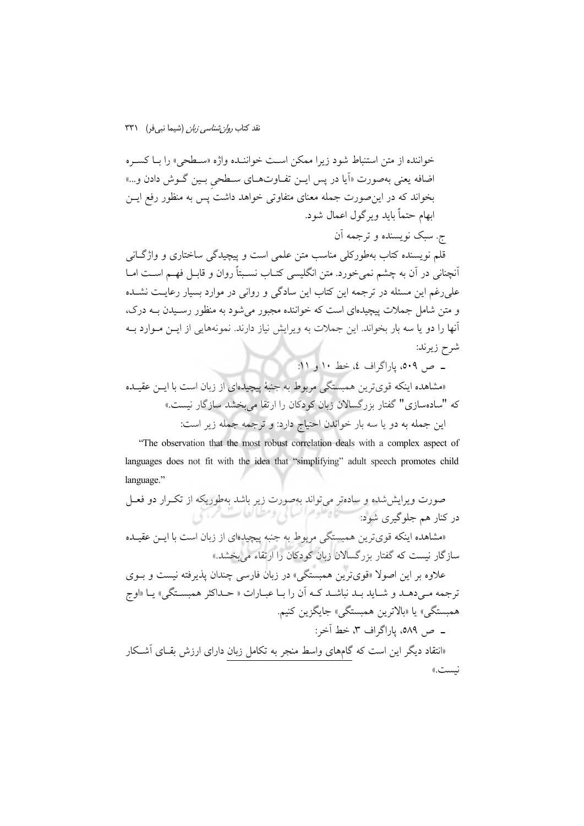خواننده از متن استنباط شود زیرا ممکن است خواننـده واژه «سـطحی» را بـا کسـره اضافه یعنی بهصورت «اَیا در پس ایــن تفــاوتهــای ســطحی بــین گــوش دادن و...» بخواند که در این صورت جمله معنای متفاوتی خواهد داشت پس به منظور رفع ایــن ابهام حتماً بايد ويرگول اعمال شود.

ج. سبک نویسنده و ترجمه آن قلم نویسنده کتاب بهطورکلی مناسب متن علمی است و پیچیدگی ساختاری و واژگــانی آنچنانی در آن به چشم نمی خورد. متن انگلیسی کتـاب نسـبتاً روان و قابـل فهـم اسـت امـا علی رغم این مسئله در ترجمه این کتاب این سادگی و روانی در موارد بسیار رعایت نشـده و متن شامل جملات پیچیدهای است که خواننده مجبور می شود به منظور رسـیدن بـه درک، آنها را دو یا سه بار بخواند. این جملات به ویرایش نیاز دارند. نمونههایی از ایــن مــوارد بــه

شرح زيرند:

ــ ص ٥٠٩، پاراگراف ٤، خط ١٠ و ١١:

«مشاهده اینکه قویترین همبستگی مربوط به جنبهٔ پیچیدهای از زبان است با ایــن عقیــده که "سادهسازی" گفتار بزرگسالان زبان کودکان را ارتقا می بخشد سازگار نیست.» این جمله به دو یا سه بار خواندن احتیاج دارد: و ترجمه جمله زیر است:

"The observation that the most robust correlation deals with a complex aspect of languages does not fit with the idea that "simplifying" adult speech promotes child language."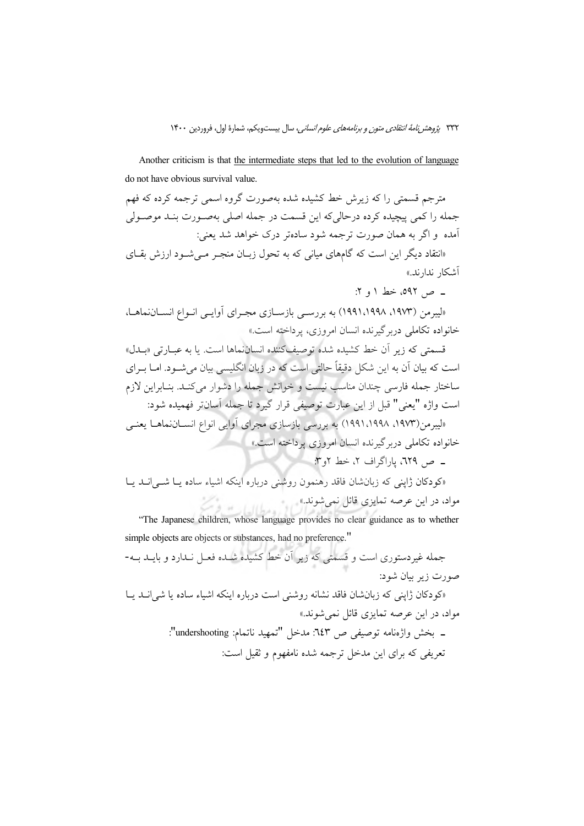Another criticism is that the intermediate steps that led to the evolution of language do not have obvious survival value.

مترجم قسمتی را که زیرش خط کشیده شده بهصورت گروه اسمی ترجمه کرده که فهم جمله را کمی پیچیده کرده درحالیکه این قسمت در جمله اصلی بهصـورت بنـد موصـولی آمده و اگر به همان صورت ترجمه شود سادهتر درک خواهد شد بعنی:

«انتقاد دیگر این است که گامهای میانی که به تحول زبـان منجـر مـی شـود ارزش بقـای آشكار ندارند.»

\_ ص ٥٩٢، خط ١ و ٢:

«لیبرمن (۱۹۷۳، ۱۹۹۹،۱۹۹۸) به بررســی بازســازی مجـرای اوایــی انــواع انســانiماهــا، خانواده تکاملي در بر گيرنده انسان امروزي، بر داخته است.»

قسمتی که زیر آن خط کشیده شده توصیفکننده انسان نماها است. با به عبارتی «بلال» ست که بیان ان به این شکل دقیقا حالتی است که در زبان انگلیسی بیان میشــود. امــا بــرای ساختار جمله فارسی چندان مناسب نیست و خوانش جمله را دشوار می کنـد. بنـابراین لازم است واژه "يعني" قبل از اين عبارت توصيفي قرار گيرد تا جمله آسانتر فهميده شود: «لیبرمن(۱۹۷۳، ۱۹۹۱،۱۹۹۸) به بررسی بازسازی مجرای اوایی انواع انســاننماهــا یعنــی خانواده تکاملی در بر گیرنده انسان امروزی برداخته است.» \_ ص ٦٢٩، ماراگراف ٢، خط ٢و ٣: «کودکان ژاپنی که زبانشان فاقد رهنمون روشنی درباره اینکه اشیاء ساده یـا شــ انــد یــا مواد، در این عرصه تمایزی قائل نمی شوند.»

"The Japanese children, whose language provides no clear guidance as to whether simple objects are objects or substances, had no preference." جمله غیردستوری است و قسمتی که زیر آن خط کشیده شـده فعـل نـدارد و بایــد بــه-صورت زیر بیان شود:

«کودکان ژاپنی که زبانشان فاقد نشانه روشنی است درباره اینکه اشیاء ساده یا شی انــد یــا مواد، در این عرصه تمایزی قائل نمی شوند.»

> ـ بخش واژمنامه توصي*في ص ٦*٤٣: مدخل "تمهيد ناتمام: undershooting": تعریفی که برای این مدخل ترجمه شده نامفهوم و ثقیل است: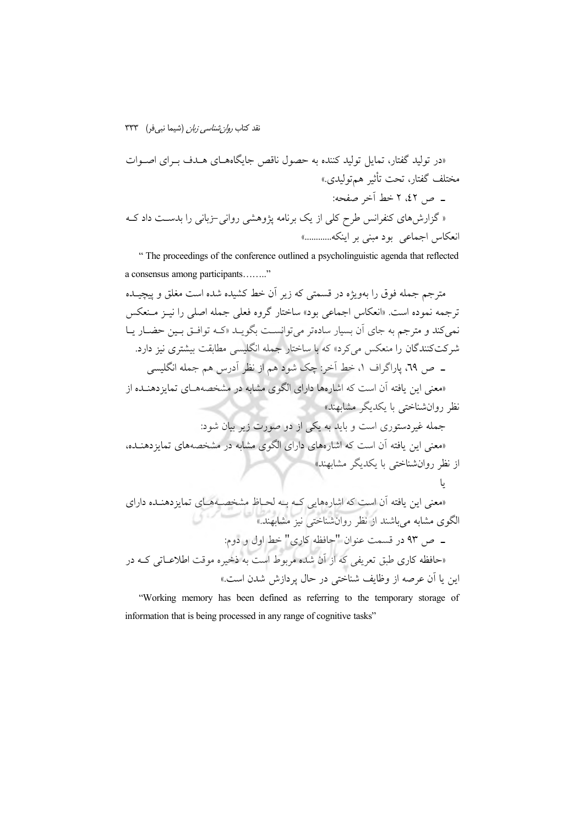«در تولید گفتار، تمایل تولید کننده به حصول ناقص جایگاههـای هــدف بـرای اصــوات مختلف گفتار، تحت تأثير هم توليدي.» - ص ٤٢، ٢ خط آخر صفحه: « گزارش های کنفرانس طرح کلی از یک برنامه پژوهشی روانی -زبانی را بدست داد ک انعکاس اجماعی بود مبنی بر اینکه............»

"The proceedings of the conference outlined a psycholinguistic agenda that reflected a consensus among participants........"

.<br>مترجم جمله فوق را پهويژه در قسمتي كه زير آن خط كشيده شده است مغلق و پيچيــده .<br>ترجمه نموده است. «انعکاس اجماعی بود» ساختار گروه فعلی جمله اصلی را نییز منعکس .<br>نمي کند و مترجم به جاي آن بسار سادهتر مي توانسـت بگويـد «کـه توافـق بـين حضـار بـا .<br>شرکتکنندگان را منعکس میکرد» که با ساختار جمله انگلیسی مطابقت بیشتری نیز دارد. ۔ ص ٦٩، ياراگراف ١، خط آخر: چک شود هم از نظر آدرس هم جمله انگلیسی «معنى اين يافته آن است كه اشارهها داراي الگوي مشابه در مشخصههـاي تمايزدهنـده از نظر روان شناختے یا پکدیگر مشابھند» جمله غیردستوری است و بابد به یکر از دو صورت زیر بیان شود: «معنی این یافته آن است که اشارههای دارای الگوی مشابه در مشخصههای تمایزدهنـده، از نظر روانشناختی با یکدیگر مشابهند» L

«معنی این یافته آن است که اشارههایی کـه بــه لحــاظ مشخصــههــای تمایزدهـنــده دارای<br>الگوی مشابه میباشند از نظر روانشناختی نیز مشابهند.» ـ ص ٩٣ در قسمت عنوان "حافظه كاري" خط اول و دوم: «حافظه کاری طبق تعریفی که از آن شده مربوط است به ذخیره موقت اطلاعــاتی کــه در اين يا آن عرصه از وظايف شناختي در حال پردازش شدن است.»

"Working memory has been defined as referring to the temporary storage of information that is being processed in any range of cognitive tasks"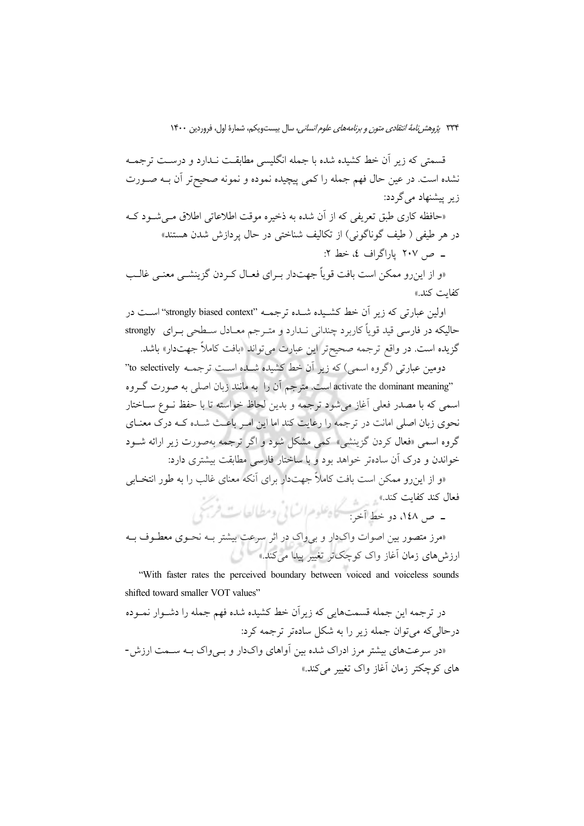قسمتی که زیر اَن خط کشیده شده با جمله انگلیسی مطابقت نـدارد و درسـت ترجمــه نشده است. در عین حال فهم جمله را کمی پیچیده نموده و نمونه صحیحتر آن بـه صـورت زیر پیشنهاد می گردد:

«حافظه کاری طبق تعریفی که از آن شده به ذخیره موقت اطلاعاتی اطلاق مے شـو د کـه در هر طبقی ( طبف گوناگونی) از تکالیف شناختی در حال پردازش شدن هستند» ۔ ص ۲۰۷ باراگراف ٤، خط ٢: «و از این رو ممکن است بافت قویاً جهتدار بـرای فعـال کـردن گزینشــی معنــی غالــب

كفايت كند.»

اولین عبارتی که زیر آن خط کشـیده شـده ترجمــه ''strongly biased context'' اسـت در حاليكه در فارسي قيد قو ياً كاربرد چنداني نـدارد و متـرجم معـادل سـطحي بـراي strongly گزیده است. در واقع ترجمه صحیحتر این عبارت میتواند «بافت کاملاً جهتدار» باشد.

دومین عبارتی (گروه اسمی) که زیر آن خط کشیده شــده اســت ترجمــه to selectively" ''activate the dominant meaning است. مترجم أن را به مانند زبان اصلي به صورت گـروه اسمی که با مصدر فعلی آغاز میشود ترجمه و بدین لحاظ خواسته تا با حفظ نــوع ســاختار نحوی زبان اصلی امانت در ترجمه را رعایت کند اما این امـر باعـث شـده کـه درک معنـای گروه اسمی «فعال کردن گزینشی» کمی مشکل شود و اگر ترجمه بهصورت زیر ارائه شــود خواندن و درک آن سادهتر خواهد بود و با ساختار فارسی مطابقت بیشتری دارد:

«و از این٫رو ممکن است بافت کاملاً جهتدار برای آنکه معنای غالب را به طور انتخــابی فعال کند کفایت کند.»<br>- ص ۱۶۸، دو خط آخر: سکاه علوم السائی ومطالعات فریخی

«مرز متصور بین اصوات واک\ار و بی واک در اثر سرعت بیشتر بـه نحـوی معطـوف بـه ارزش های زمان آغاز واک کوچک تر تغییر پیدا می کند.»

"With faster rates the perceived boundary between voiced and voiceless sounds shifted toward smaller VOT values"

در ترجمه این جمله قسمتهایی که زیرآن خط کشیده شده فهم جمله را دشـوار نمـوده درحالي كه مي توان جمله زير را به شكل سادهتر ترجمه كرد: «در سرعتهای بیشتر مرز ادراک شده بین آواهای واکدار و بے واک بــه ســمت ارزش-های کوچکتر زمان آغاز واک تغییر مےکند.»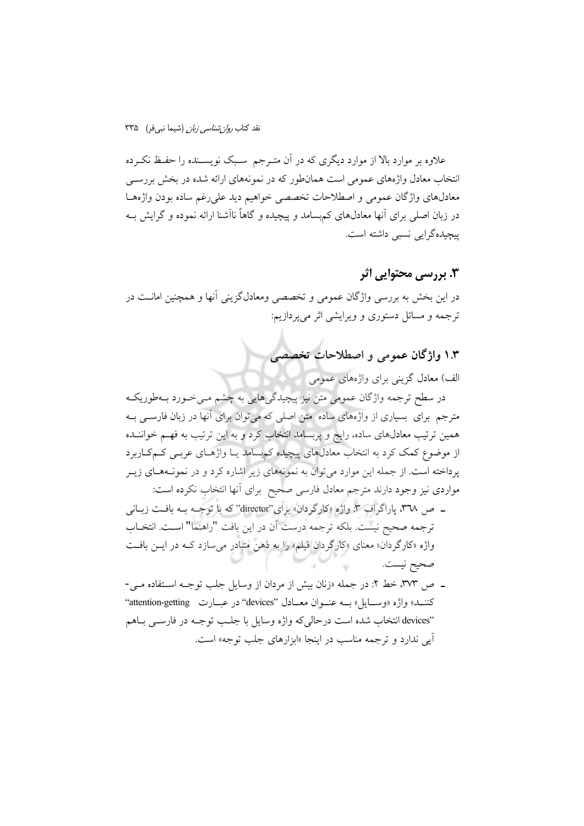علاوه بر موارد بالا از موارد دیگری که در آن متـرجم سـبک نویســنده را حفـظ نکــرده انتخاب معادل واژههای عمومی است همانطور که در نمونههای ارائه شده در بخش بررســی معادلهای واژگان عمومی و اصطلاحات تخصصی خواهیم دید علی رغم ساده بودن واژههـا در زبان اصلی برای آنها معادلهای کم بسامد و پیچیده و گاهاً ناآشنا ارائه نموده و گرایش بـه سچیدہ گے اپے نسبے داشته است.

## ۳. پررسی محتوابی اثر

در این بخش به بررسی واژگان عمومی و تخصصی ومعادلگزینی آنها و همچنین امانــت در ترجمه و مسائل دستوری و ویرایشی اثر می پردازیم:

۱.۳ واژگان عمومی و اصطلاحات تخصصی

الف) معادل گزینی برای واژههای عمومی

در سطح ترجمه واژگان عمومی متن نیز پیچیدگیهایی به چشم مـیخـورد بـهطوریکـه مترجم برای بسیاری از واژههای ساده متن اصلی که می توان برای آنها در زبان فارســی بــه همین ترتیب معادلهای ساده، رایج و پربسامد انتخاب کرد و به این ترتیب به فهـم خواننــده از موضوع کمک کرد به انتخاب معادلهای پیچیده کمبسامد یـا واژهـای عربــی کــمکــاربرد پرداخته است. از جمله این موارد میتوان به نمونههای زیر اشاره کرد و در نمونـههـای زیـر مواردي نيز وجود دارند مترجم معادل فارسي صحيح براي آنها انتخاب نكرده است:

ـ ص ٣٦٨، ياراگراف ٣: واژه «كارگردان» براي"director" كه با توجـه بـه بافـت زبـاني ترجمه صحيح نيست. بلكه ترجمه درست آن در اين بافت "راهنما" اسـت. انتخـاب واژه «کارگردان» معنای «کارگردان فیلم» را به ذهن متبادر می سازد کـه در ایــن بافـت صحيح نيست.

ــ ص ٣٧٣، خط ٢: در جمله «زنان بيش از مردان از وسايل جلب توجـه اســتفاده مـي-كننسله» وإزه «وسبايل» بسه عنسوان معبادل "devices" در عبيارت \_attention-getting" "devices انتخاب شده است درحالي كه واژه وسايل با جلب توجـه در فارسـي بـاهم اً یی ندارد و ترجمه مناسب در اینجا «ابزارهای جلب توجه» است.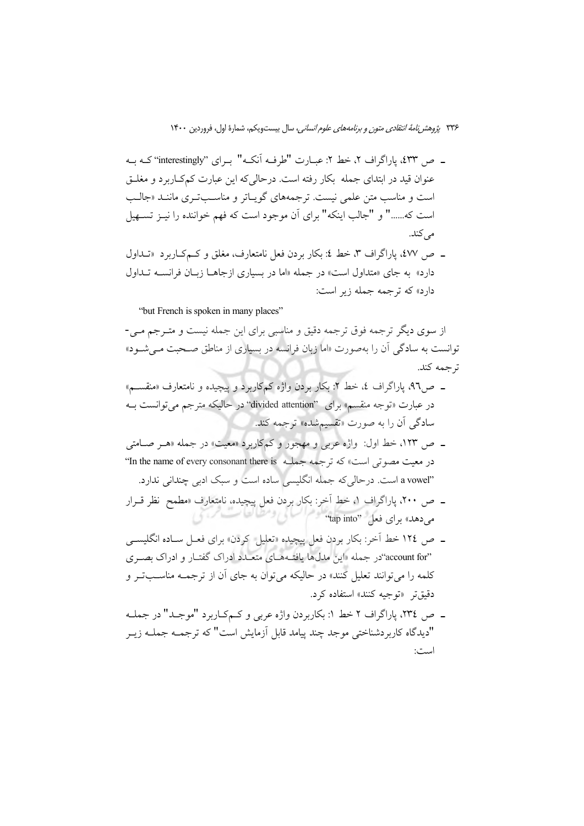- ـ ص ٤٣٣، ياراگراف ٢، خط ٢: عبــارت "طرفــه اَنكــه" بــراي "interestingly" كــه بــه عنوان قید در ابتدای جمله بکار رفته است. درحالی که این عبارت کمکباربرد و مغلبق است و مناسب متن علمی نیست. ترجمههای گویـاتر و مناسـبتـری ماننـد «جالـب است كه......" و "جالب اينكه" براي أن موجود است كه فهم خواننده را نيـز تســهيل مے کند.
- ــ ص ٤٧٧، ياراگراف ٣، خط ٤: بكار بردن فعل نامتعارف، مغلق و كــمكـاربرد «تــداول دارد» به جای «متداول است» در جمله «اما در بسیاری از جاهـا زبـان فرانسـه تـداول دارد» که ترجمه جمله زبر است:

"but French is spoken in many places"

از سوی دیگر ترجمه فوق ترجمه دقیق و مناسبی برای این جمله نیست و متـرجم مـی-توانست به سادگی آن را بهصورت «اما زبان فرانسه در بسیاری از مناطق صـحبت مـی شـود» ترجمه کند.

- ــ ص٩٦، ياراگراف ٤، خط ٢: بكار بردن واژه كمكاربرد و پيچيده و نامتعارف «منقســم» در عبارت «توجه منقسم» براي "divided attention" در حاليكه مترجم مي توانست بـه سادگی آن را به صورت «تقسیمشده» ترجمه کند.
- ـ ص ۱۲۳، خط اول: واژه عربی و مهجور و کمکاربرد «معیت» در جمله «هـر صـامتی در معیت مصوتی است» که ترجمه جملـه In the name of every consonant there is "a vowel است. درحالي كه جمله انگليسي ساده است و سبك ادبي چنداني ندارد.
- ـ ص ۲۰۰، پاراگراف ۱، خط آخر: بکار بردن فعل پیچیده، نامتعارف «مطمح نظر قــرار می دهد» برای فعل "tap into" یا در مطالعات می
- ـ ص ١٢٤ خط آخر: بكار بردن فعل پيچيده «تعليل كردن» براي فعـل سـاده انگليســي "account for"در جمله «این مدلها یافتـههـای متعـدد ادراک گفتـار و ادراک بصـری کلمه را می توانند تعلیل کنند» در حالیکه می توان به جای آن از ترجمــه مناســــــتــر و دقيق تر «توجيه كنند» استفاده كرد.
- ۔ ص ٣٤، پاراگراف ٢ خط ١: بكاربردن واژه عربي و كـمكـاربرد "موجـد" در جملـه "دیدگاه کاربردشناختی موجد چند پیامد قابل آزمایش است" که ترجمـه جملـه زیـر است: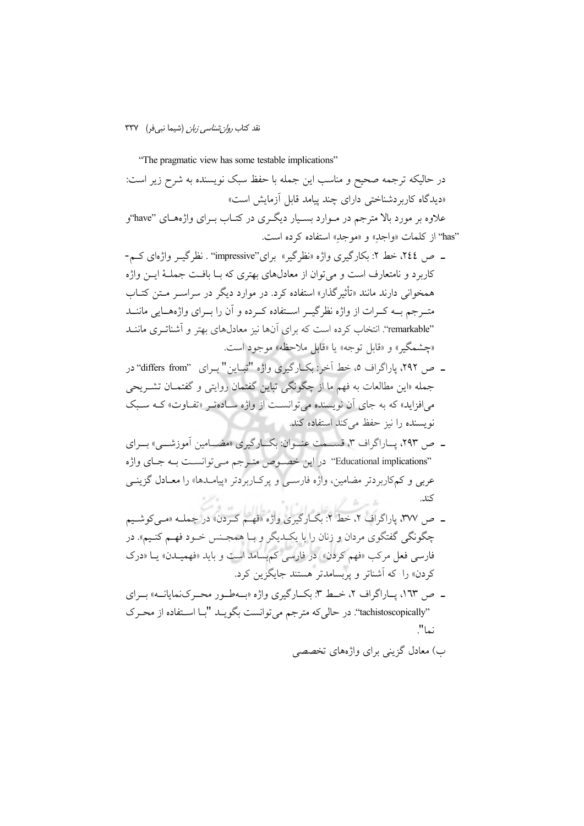"The pragmatic view has some testable implications"

در حالیکه ترجمه صحیح و مناسب این جمله با حفظ سبک نویسنده به شرح زیر است: «دیدگاه کاربردشناختی دارای چند پیامد قابل آزمایش است» علاوه بر مورد بالا مترجم در مـوارد بسـیار دیگـری در کتـاب بـرای واژههـای "have"و "has" از كلمات «واجدِ» و «موجدِ» استفاده كرده است.

- ۔ ص ٢٤٤، خط ٢: بکارگیری واژه «نظرگیر» برای"impressive" . نظرگیــر واژهای کــم-کاربرد و نامتعارف است و می توان از معادلهای بهتری که بــا بافــت جملــهٔ ایــن واژه همخوانی دارند مانند «تأثیرگذار» استفاده کرد. در موارد دیگر در سراسـر مـتن کتــاب متــرجم بــه كــرات از واژه نظر گيــر اســتفاده كــرده و آن را بــراي واژههــايي ماننــد "remarkable". انتخاب کرده است که برای آنها نیز معادلهای بهتر و آشنات یی ماننــد «چشمگیر» و «قابل توجه» یا «قابل ملاحظه» موجود است.
- ــ ص ٢٩٢، ياراگراف ٥، خط آخر: بكــارگيري واژه "تبــاين" بــراي "differs from" در جمله «این مطالعات به فهم ما از چگونگی تباین گفتمان روایتی و گفتمـان تشـریحی می افزاید» که به جای آن نویسنده می توانست از واژه سادهت «تفاوت» کـه سـبک نویسنده را نیز حفظ می کند استفاده کند.
- ـ ص ۲۹۳، پــاراگراف ۳، قســمت عنــوان: بکــارگیری «مضــامین آموزشــی» بــرای "Educational implications" در این خصوص متـرجم مـي توانسـت بــه جـاي واژه عربي و كمكاريودتر مضامين، وإژه فارســي و يركــاربودتر «پيامــدها» را معــادل گزينــي
- ـ ص ٣٧٧، ياراگراف ٢، خط ٢: بكـارگيري واژه «فهـم كـردن» در جملـه «مـي كوشـيم چگونگی گفتگوی مردان و زنان را با یک یگر و بـا همجـنس خــود فهــم کنــیم». در .<br>فارسی فعل مرکب «فهم کردن» در فارسی کمپسامد است و باید «فهمیـدن» یــا «درک کردن» را که آشناتر و پربسامدتر هستند جایگزین کرد.
- ۔ ص ١٦٣، پیاراگراف ٢، خبط ٣: بکبارگیری واژه «بیهطبور محبر ک نمایانیه» بیرای "tachistoscopically". در حالي كه مترجم مي توانست بگويــد "بـا اسـتفاده از محـرک  $"$ 
	- ب) معادل گزینی برای واژههای تخصصه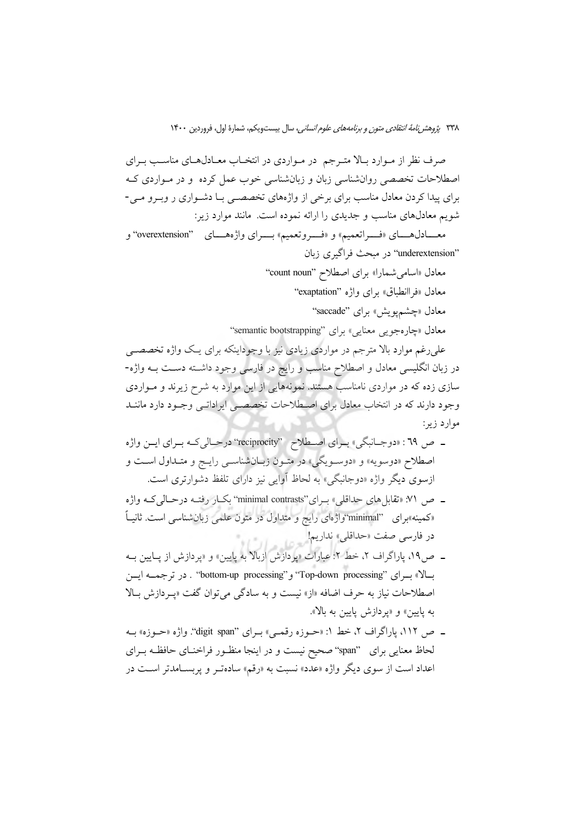صرف نظر از مـوارد بـالا متـرجم ً در مـواردي در انتخـاب معـادلهـاي مناسـب بـراي اصطلاحات تخصصی روانشناسی زبان و زبانشناسی خوب عمل کرده و در مـواردی کـه برای پیدا کردن معادل مناسب برای برخی از واژههای تخصصـی بـا دشـواری ر وبـرو مـی-شویم معادلهای مناسب و جدیدی را ارائه نموده است. مانند موارد زیر:

معــادلهـــاي «فـــراتعميم» و «فـــروتعميم» بـــراي واژههـــاي "overextension" و "underextension" در میحث فراگیری زبان

> معادل «اسامی شمارا» برای اصطلاح "count noun" معادل «فراانطباق» براي واژه "exaptation" معادل «چشمپویش» برای "saccade"

معادل «چار مجوبے معنایے» برای "semantic bootstrapping"

علمیرغم موارد بالا مترجم در مواردی زیادی نیز با وجوداینکه برای یک واژه تخصصــی در زبان انگلیسی معادل و اصطلاح مناسب و رایج در فارسی وجود داشته دست بـه واژه-سازی زده که در مواردی نامناسب هستند. نمونههایی از این موارد به شرح زیرند و مـواردی وجود دارند که در انتخاب معادل برای اصطلاحات تخصصبی ایراداتبی وجـود دارد ماننــد موارد زير:

- ـ ص ٦٩ : «دوجـانبگي» بـراي اصـطلاح "reciprocity" درحـالي كـه بـراي ايـن واژه اصطلاح «دوسويه» و «دوسـويگي» در متـون زبـانشناسـي رايـج و متـداول اسـت و ازسوی دیگر واژه «دوجانبگی» به لحاظ آوایی نیز دارای تلفظ دشوارتری است.
- ـ ص ٧١: «تقابل هاي حداقلي» بـراي"minimal contrasts" بكـار رفتـه درحـالي كـه واژه «کمینه»برای "minimal"واژهای رایج و متداول در متون علمی زبانشناسی است. ثانیـاً در فارسی صفت «حداقلی» نداریم!
- ـ ص١٩، پاراگراف ٢، خط ٢: عبارات «پردازش ازبالا به پایین» و «پردازش از پـایین بــه بسالا» بسراي "Top-down processing" و "bottom-up processing" . در ترجمــه ايسن اصطلاحات نیاز به حرف اضافه «از» نیست و به سادگی می توان گفت «په دازش بالا به پایین» و «پردازش پایین به بالا».
- ـ ص ١١٢، ياراگراف ٢، خط ١: «حـوزه رقمـي» بـراي "digit span". واژه «حـوزه» بـه لحاظ معنایی برای "span" صحیح نیست و در اینجا منظـور فراخنــای حافظــه بــرای اعداد است از سوی دیگر واژه «عدد» نسبت به «رقم» سادهتـر و پربســامدتر اســت در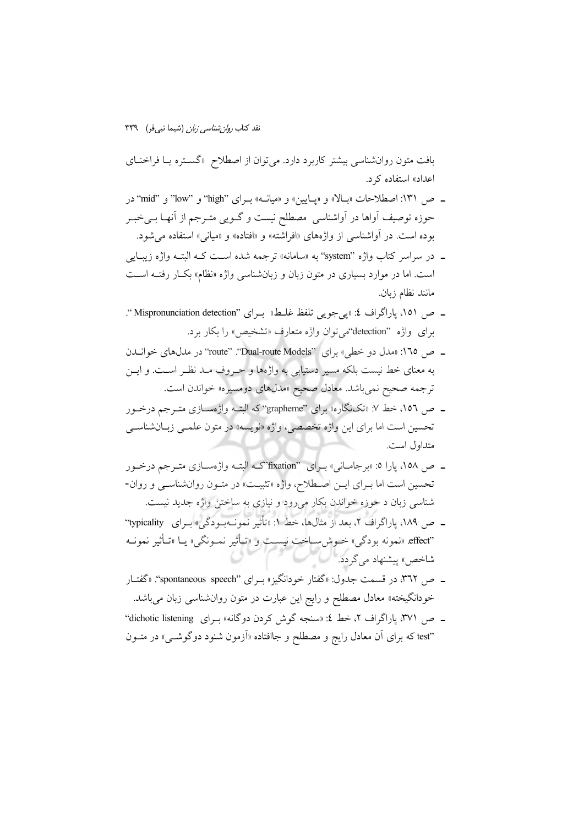بافت متون روان شناسی بیشتر کاربرد دارد. می توان از اصطلاح «گستره یـا فراخنـای اعداد» استفاده کر د.

- ـ ص ١٣١: اصطلاحات «بـالا» و «پـايين» و «ميانــه» بـراي "high" و "mid" در حوزه توصیف اَواها در اَواشناسی ًمصطلح نیست و گــویی متــرجم از اَنهــا بــیخبــر بوده است. در اواشناسی از واژههای «افراشته» و «افتاده» و «میانی» استفاده می شود.
- ـ در سراسر كتاب واژه "system" به «سامانه» ترجمه شده اسـت كـه البتــه واژه زيبــايـي است. اما در موارد بسیاری در متون زبان و زبانشناسی واژه «نظام» بکبار رفتـه اسـت مانند نظام زبان.
- ـ ص ٥١، پاراگراف ٤: «پي جويبي تلفظ غلــط» بــراي "Mispronunciation detection". برای واژه "detection"می توان واژه متعارف «تشخیص» را بکار برد.
- \_ ص ١٦٥: «مدل دو خطي» براي "Dual-route Models". "route" در مدلهاي خوانيدن به معنای خط نیست بلکه مسیر دستیابی به واژهها و حـروف مـد نظـر اسـت. و ایــن ترجمه صحيح نمي باشد. معادل صحيح «مدلهاي دومسيره» خواندن است.
- ــ ص ٥٦، خط ٧: «تکنگاره» برای "grapheme" که البتــه واژهســازی متــرجم درخــور تحسین است اما برای این واژه تخصصی، واژه «نویسه» در متون علمــی زبــانشناســی متداول است.
- ـ ص ١٥٨، يارا ٥: «برجامــاني» بـراي "fixation"كــه البتــه واژهســازي متــرجم درخــور تحسین است اما بـرای ایـن اصـطلاح، واژه «تثبیـت» در متـون روانشناسـی و روان-شناسی زبان د حوزه خواندن بکار میرود و نیازی به ساختن واژه جدید نیست.
- ـ ص ١٨٩، ياراگراف ٢، بعد از مثالها، خط ١: «تأثير نمونـهبـودگي» بـراي typicality" "effect. «نمونه بودگي» خــوشســـاخت نيســـت و «تــأثير نمــونگي» يــا «تــأثير نمونــه شاخص» پیشنهاد میگردد.
- ـ ص ٣٦٢، در قسمت جدول: «گفتار خودانگيز» بـراي "spontaneous speech". «گفتـار خودانگیخته» معادل مصطلح و رایج این عبارت در متون روانشناسی زبان میباشد.
- ـ ص ٣٧١، پاراگراف ٢، خط ٤: «سنجه گوش کردن دوگانه» بـراي dichotic listening' 'test که برای آن معادل رایج و مصطلح و جاافتاده «اَزمون شنود دوگوشــی» در متــون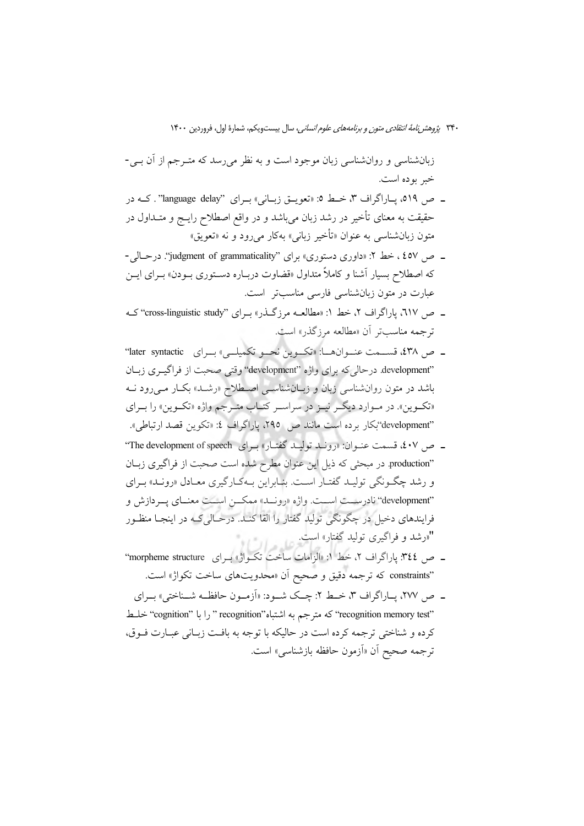زبانشناسی و روانشناسی زبان موجود است و به نظر می رسد که متـرجم از آن بــی-خبر بوده است.

- ـ ص ٥١٩، يـاراگراف ٣، خـط ٥: «تعويــق زبــاني» بـراي "language delay" . كــه در حقیقت به معنای تأخیر در رشد زبان میباشد و در واقع اصطلاح رایــج و متــداول در متون زبانشناسی به عنوان «تأخیر زبانی» بهکار میرود و نه «تعویق»
- ص ٤٥٧، خط ٢: «داوري دستوري» براي "judgment of grammaticality": درحـالي-که اصطلاح بسیار آشنا و کاملاً متداول «قضاوت دربـاره دسـتوری بـودن» بـرای ایــن عبارت در متون زبانشناسی فارسی مناسبتر است.
- ـ ص ٦١٧، ياراگراف ٢، خط ١: «مطالعــه مرزگــذر» بـراي "cross-linguistic study" كــه ترجمه مناسبتر أن «مطالعه مرزگذر» است.
- ـ ص ٤٣٨، قســمت عنــوانهـــا: «تكــوين نحــو تكميلــه » بــراي later syntactic'' "development. درحالي كه براي واژه "development" وقتي صحبت از فراگيــري زيــان باشد در متون روان شناسی زبان و زبان شناس<sub>می</sub> اصطلاح «رشد» بکار می رود نـه «تكـوين». در مـوارد ديگـر نيـز در سراسـر كتـاب متـرجم واژه «تكـوين» را بـراي "development"بكار برده است مانند ص ٢٩٥، ياراگراف ٤: «تكوين قصد ارتباطي».
- ۔ ص ٤٠٧، قسمت عنبوان: «رونید تولیید گفتیار» پیرای The development of speech" "production. در مبحثی که ذیل این عنوان مطرح شده است صحبت از فراگیری زبـان و رشد چگونگی تولید گفتار است. بنیاراین سه کیار گیری معیادل «رونید» سرای "development" نادرســت اســت. واژه «رونــد» ممكـــن اســَت معنــاي يـــردازش و فرایندهای دخیل در چگونگی تولید گفتار را القا کنــد. درحــالی کــه در اینجــا منظــور "«رشد و فراگیری تولید گفتار» است.
- ـ ص ٤٤٪ پاراگراف ٢، خط ١: «الزامات ساخت تكـواژ» بـراي morpheme structure'' "constraints که ترجمه دقیق و صحیح آن «محدویتهای ساخت تکواژ» است.
- ۔ ص ٢٧٧، پیاداگراف ٣، خبط ٢: چیک شبود: «اَذِمِيون حافظيه شباختي» سراي "recognition memory test" كه مترجم به اشتباه"recognition" را با "cognition" خلط كرده و شناختي ترجمه كرده است در حاليكه با توجه به بافت زبـاني عبـارت فـوق، ترجمه صحيح أن «أزمون حافظه بازشناسي» است.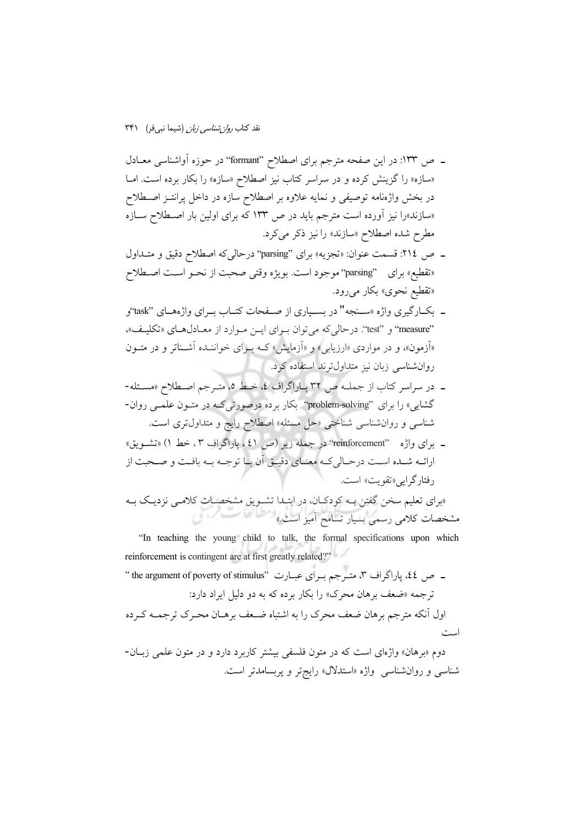ـ ص ١٣٣: در اين صفحه مترجم براي اصطلاح "formant" در حوزه أواشناسي معـادل «سازه» را گزینش کرده و در سراسر کتاب نیز اصطلاح «سازه» را بکار برده است. امـا در بخش واژەنامه توصیفی و نمایه علاوه بر اصطلاح سازه در داخل پرانتـز اصـطلاح «سازند»را نیز آورده است مترجم باید در ص ۱۳۳ که برای اولین بار اصـطلاح ســازه مطرح شده اصطلاح «سازند» را نیز ذکر می کرد.

- ـ ص ٢١٤: قسمت عنوان: «تجزيه» براي "parsing" درحالي كه اصطلاح دقيق و متـداول «تقطيع» براي "``parsing'' موجود است. بويژه وقتي صحبت از نحـو اسـت اصـطلاح «تقطيع نحوي» بكار مي رود.
- ـ بكبارگيري واژه «سـنجه" در بسـياري از صـفحات كتــاب بـراي واژههــاي "task"و "measure" و "test". درحالي كه مي توان به اي ايـن مـوارد از معـادلهـاي «تكليـف»، «اَزمون»، و در مواردی «ارزیابی» و «اَزمایش» کــه بــرای خواننــده اَشــناتر و در متــون روانشناسی زبان نیز متداولترند استفاده کرد.
- ـ در سراسر كتاب از جملـه ص ٣٢ يـاراگراف ٤، خـط ٥، متـرجم اصـطلاح «مسـئله-گشايي» را براي "problem-solving" بکار برده درصورتي کـه در متـون علمـي روان-شناسی و روانشناسی شناختی «حل مسئله» اصطلاح رایج و متداول تری است.
- ـ براي واژه ``reinforcement'' در جمله زير (ص ٤١، ياراگراف ٣، خط ١) «تشــويق» ارائــه شــده اســت درحــالى كــه معنــاي دقيــق أن بــا توجــه بــه بافــت و صــحبت از د فتار گرایے «تقویت» است.

«برای تعلیم سخن گفتن بــه کودکــان، در ابتــدا تشــویق مشخصــات کلامــی نزدیــک بــه<br>مشخصات کلامی رسمی بسیار تسامح اَمیز است.»

"In teaching the young child to talk, the formal specifications upon which reinforcement is contingent are at first greatly related?"

" the argument of poverty of stimulus" ص ٤٤، ياراگراف ٣، متبر جم بيراي عبيارت "the argument of poverty of stimulus تر جمه «ضعف برهان محرک» را بکار برده که به دو دلیل ایراد دارد: اول آنکه مترجم برهان ضعف محرک را به اشتباه ضـعف برهـان محـرک ترجمــه کـرده است

دوم «برهان» واژهای است که در متون فلسفی بیشتر کاربرد دارد و در متون علم*ی* زبــان-شناسی و روان شناسی واژه «استدلال» رایجتر و پربسامدتر است.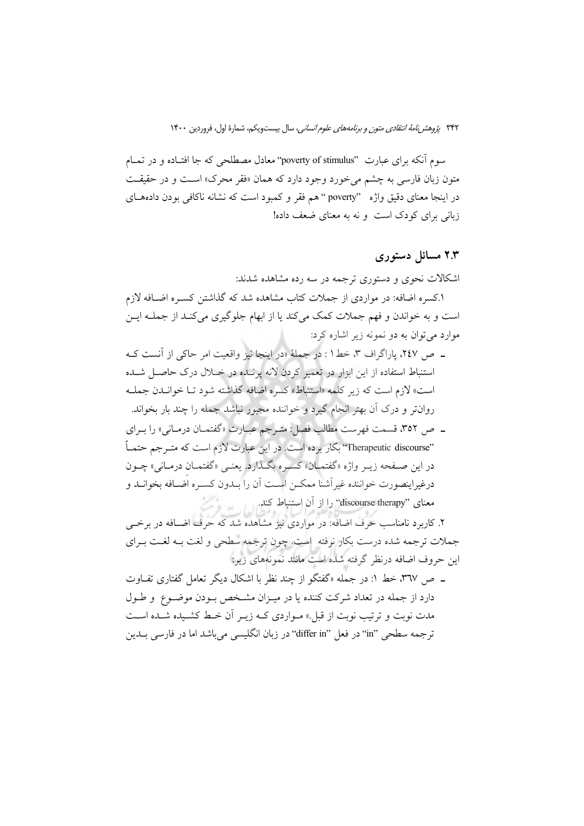سوم آنکه برای عبارت "poverty of stimulus" معادل مصطلحی که جا افتـاده و در تمــام متون زبان فارسی به چشم میخورد وجود دارد که همان «فقر محرک» است و در حقیقت در اینجا معنای دقیق واژه "poverty " هم فقر و کمبود است که نشانه ناکافی بودن دادههــای زبانی برای کودک است و نه به معنای ضعف داده!

## ۲.۳ مسائل دستوری

اشکالات نحوی و دستوری ترجمه در سه رده مشاهده شدند:

۱.کسره اضافه: در مواردی از جملات کتاب مشاهده شد که گذاشتن کسـره اضـافه لازم است و به خواندن و فهم جملات کمک میکند یا از ابهام جلوگیری میکند از جملـه ایـن موارد مي توان به دو نمونه زير اشاره كرد:

ـ ص ٢٤٧، ياراگراف ٣، خط١ : در جملهٔ «در اينجا نيز واقعيت امر حاكي از آنست كـه استنباط استفاده از این ابزار در تعمیر کردن لانه پرنیده در خیلال درک حاصل شیده است» لازم است كه زير كلمه «استنباط» كسره اضافه گذاشته شود تـا خوانـدن جملـه روانتر و درک اَن بهتر انجام گیرد و خواننده مجبور نباشد جمله را چند بار بخواند. ـ ص ٣٥٢، قسمت فهرست مطالب فصل: متـرجم عبـارت «گفتمـان درمـاني» را بـراي "Therapeutic discourse" بكار برده است. در اين عبارت لازم است كه متـر جم حتمـاً در اين صفحه زيـر واژه «گفتمـان» كسـره بگــذارد. يعنـي «گفتمـان درمـاني» چــون درغيراينصورت خواننده غيراًشنا ممكــن اســت أن را بــدون كســره اضــافه بخوانــد و معنای "discourse therapy" را از آن استنباط کند.

۲. کاربرد نامناسب حرف اضافه: در مواردی نیز مشاهده شد که حرف اضـافه در برخـــ ٍ جملات ترجمه شده درست بکار نرفته است. چون ترجمه سطحی و لغت بـه لغـت بـرای این حروف اضافه درنظر گرفته شده است مانند نمونههای زیر:

\_ ص ٣٦٧، خط ١: در جمله «گفتگو از چند نظر يا اشكال ديگر تعامل گفتاري تفياوت دارد از جمله در تعداد شركت كننده يا در ميـزان مشـخص بـودن موضـوع و طـول مدت نوبت و ترتیب نوبت از قبل.» مـواردی کـه زیـر آن خـط کشـیده شـده اسـت ترجمه سطحی "in" در فعل "differ in" در زبان انگلیسی میباشد اما در فارسی بــدین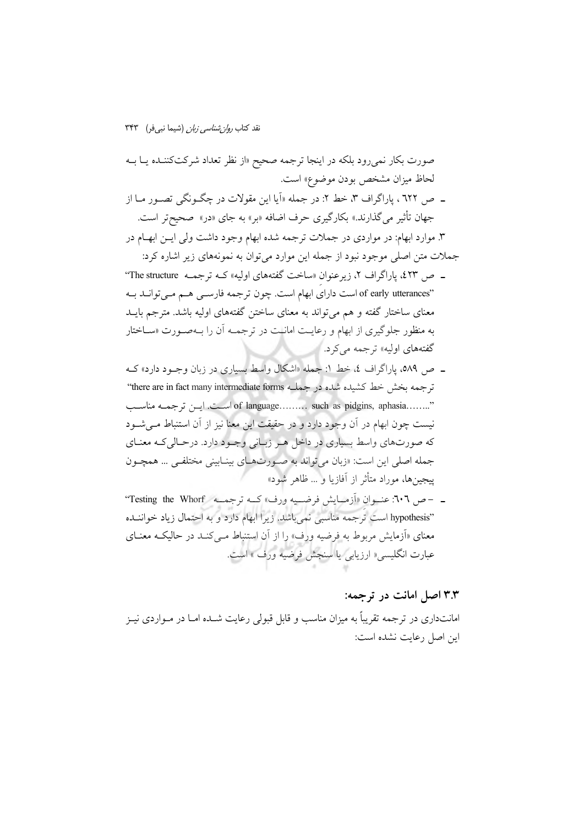صورت بکار نمیرود بلکه در اینجا ترجمه صحیح «از نظر تعداد شرکتکننـده یــا بــه لحاظ ميزان مشخص بودن موضوع» است. ۔ ص ٦٢٢، پاراگراف ٣، خط ٢: در جمله «اَيا اين مقولات در چگـونگي تصـور مــا از جهان تأثیر میگذارند.» بکارگیری حرف اضافه «بر» به جای «در» صحیحتر است. ۳. موارد ابهام: در مواردي در جملات ترجمه شده ابهام وجود داشت ولي ايــن ابهــام در جملات متن اصلي موجود نبود از جمله اين موارد مي توان به نمونههاي زير اشاره كرد: ۔ ص ٤٢٣، پاراگراف ٢، زیرعنوان «ساخت گفتههای اولیه» کـه ترجمـه The structure"

- 'of early utterances است دارای ابهام است. چون ترجمه فارسبی هم مبی توانید به معنای ساختار گفته و هم می تواند به معنای ساختن گفتههای اولیه باشد. مترجم بایــد به منظور جلوگیری از ابهام و رعایـت امانـیت در ترجمــه آن را بــهصــورت «ســاختار گفتههای اولیه» ترجمه می کرد.
- ــ ص ٥٨٩، ياراگراف ٤، خط ١: جمله «اشكال واسط بسياري در زبان وجـود دارد» كــه ترجمه بخش خط كشيده شده در جملــه there are in fact many intermediate forms of language......... such as pidgins, aphasia........" of language است. ایس ترجمه مناسب نيست چون ابهام در آن وجود دارد و در حقيقت اين معنا نيز از آن استنباط مـي شـود که صورتهای واسط بسیاری در داخل هـر زبـانی وجـود دارد. درحـالی کـه معنـای جمله اصلي اين است: «زبان مي تواند به صـورتهـاي بينـابيني مختلفـي ... همچـون يبجينها، موراد متأثر از آفازيا و ... ظاهر شود»
- ـ ص ٦٠٦: عنبوان «أزميايش فرضييه ورف» كــه ترجمــه "Testing the Whorf" "hypothesis است تُرجمه مناسبي نمي باشد. زيرا ابهام دارد و به احتمال زياد خواننـده معنای «آزمایش مربوط به فرضیه ورف» را از آن استنباط مـیکنـد در حالیکـه معنـای عبارت انگلیسی« ارزیابی یا سنجش فرضیه ورف » است.

## ۳.۳ اصل امانت در ترجمه:

امانتداری در ترجمه تقریباً به میزان مناسب و قابل قبولی رعایت شــده امــا در مــواردی نیــز اين اصل رعايت نشده است: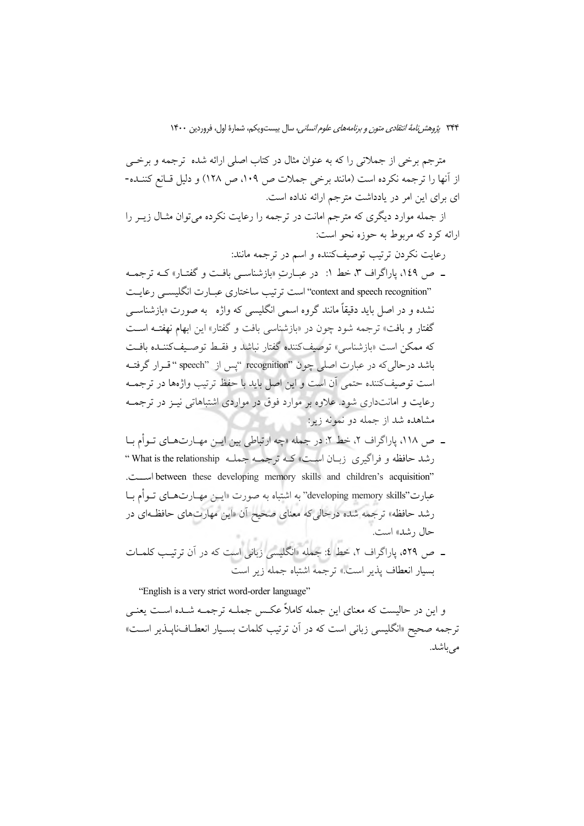مترجم برخي از جملاتي را كه به عنوان مثال در كتاب اصلي ارائه شده ترجمه و برخـي از آنها را ترجمه نكرده است (مانند برخي جملات ص ١٠٩، ص ١٢٨) و دليل قــانع كننــده-ای برای این امر در یادداشت مترجم ارائه نداده است.

از جمله موارد دیگری که مترجم امانت در ترجمه را رعایت نکرده می توان مثـال زیــر را ارائه کرد که مربوط به حوزه نحو است:

رعايت نكردن ترتيب توصيفكننده و اسم در ترجمه مانند:

- ۔ ص ١٤٩، پاراگراف ٣، خط ١: در عبـارت «بازشناسـي بافـت و گفتـار» كــه ترجمــه "context and speech recognition" است ترتيب ساختاري عبارت انگليسي رعايت نشده و در اصل باید دقیقاً مانند گروه اسمی انگلیسی که واژه به صورت «بازشناســی گفتار و بافت» ترجمه شود چون در «بازشپناسی بافت و گفتار» این ابهام نهفتــه اســت كه ممكن است «بازشناسي» توصيفكننده گفتار نباشد و فقط توصيفكننـده بافـت باشد درحالی که در عبارت اصلی چون "recognition "يس از "speech "قرار گرفتـه است توصيفكننده حتمي أن است و اين اصل بايد با حفظ ترتيب واژهها در ترجمــه رعایت و امانتداری شود. علاوه بر موارد فوق در مواردی اشتباهاتی نیـز در ترجمـه مشاهده شد از جمله دو نمونه زير:
- ــ ص ١١٨، ياراگراف ٢، خط ٢: در جمله «چه ارتباطي بين ايــن مهــارتهــاي تــوأم بــا رشد حافظه و فراگیری زبان است» کـه ترجمـه جملـه What is the relationship " between these developing memory skills and children's acquisition" عبارت''developing memory skillsفills'' به اشتباه به صورت «ایــِن مهــارتهــای تــوأم بــا رشد حافظه» ترجمه شده درحالیکه معنای صحیح آن «این مهارتهای حافظـهای در حال رشد» است.
- ۔ ص ٥٢٩، پاراگراف ٢، خط ٤: جمله «انگلیسی زبانی است که در آن ترتیب کلمیات بسيار انعطاف يذير است.» ترجمه اشتباه جمله زير است

"English is a very strict word-order language"

و این در حالیست که معنای این جمله کاملاً عکس جملــه ترجمــه شــده اســت یعنــی ترجمه صحيح «انگليسي زباني است كه در آن ترتيب كلمات بسـيار انعطـافJايـذير اسـت» می باشد.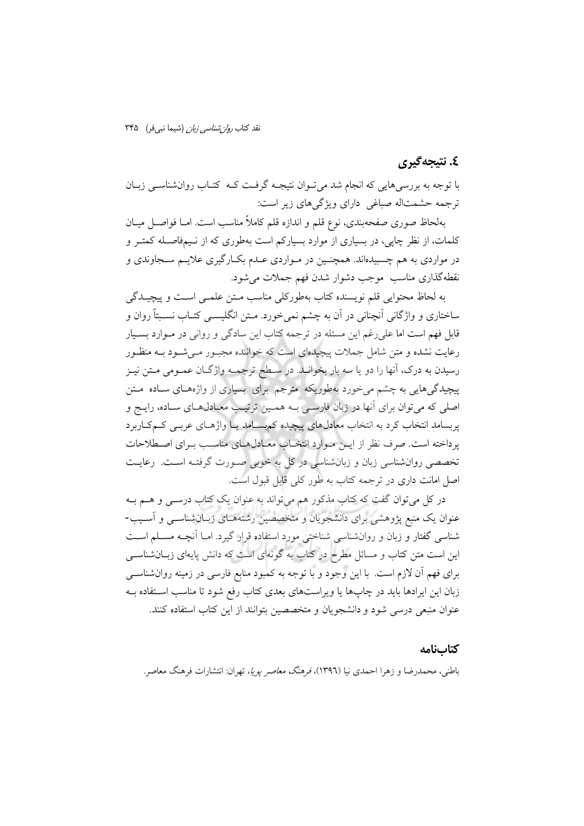# ٤. نتيجه گيري

با توجه به بررسیهایی که انجام شد میتوان نتیجـه گرفـت کـه کتـاب روانشناسـی زبـان ترجمه حشمتاله صباغی دارای ویژگیهای زیر است:

بهلحاظ صوری صفحهبندی، نوع قلم و اندازه قلم کاملاً مناسب است. امـا فواصــل میــان کلمات، از نظر چاپی، در بسیاری از موارد بسیارکم است بهطوری که از نـیمفاصـله کمتــر و در مواردی به هم چسبیدهاند. همچنـین در مـواردی عـدم بکـارگیری علایـم ســجاوندی و نقطهگذاری مناسب موجب دشوار شدن فهم جملات میشود.

به لحاظ محتوایی قلم نویسنده کتاب بهطورکلی مناسب مـتن علمـی اسـت و پیچیـدگی ساختاری و واژگانی اَنچنانی در اَن به چشم نمی خورد. مـتن انگلیســی کتــاب نســبتاً روان و قابل فهم است اما علی رغم این مسئله در ترجمه کتاب این سادگی و روانی در مـوارد بسـیار رعایت نشده و متن شامل جملات پیچیدهای است که خواننده مجبور مـی شـود بـه منظـور رسیدن به درک، آنها را دو یا سه بار بخوانـد. در سـطح ترجمــه واژگــان عمــومی مــتن نيــز پیچیدگیهایی به چشم میخورد بهطوریکه مترجم برای بسیاری از واژههای سـاده مـتن اصلي كه مي توان براي آنها در زبان فارسـي بـه همـين ترتيـب معـادلهـاي سـاده، رايـج و پربسامد انتخاب کرد به انتخاب معادلهای پیچیده کم بسـامد یـا واژهـای عربـی کـمکـاربرد پرداخته است. صرف نظر از ایـن مـوارد انتخـاب معـادلهـای مناسـب بـرای اصـطلاحات تخصصی روانشناسی زبان و زبانشناسی در کل به خوبی صورت گرفتـه اسـت. رعایـت اصل امانت داری در ترجمه کتاب به طور کلی قابل قبول است.

در کل می توان گفت که کتاب مذکور هم می تواند به عنوان یک کتاب درستی و هسم بـه عنوان یک منبع پژوهشی برای دانشجویان و متخصصین رشتههـای زبـانشناســی و آســیب-شناسی گفتار و زبان و روانشناسی شناختی مورد استفاده قرار گیرد. امـا آنچــه مســلم اســت این است متن کتاب و مسائل مطرح در کتاب به گونهای است که دانش پایهای زبـانشناســی برای فهم آن لازم است. با این وجود و با توجه به کمبود منابع فارسی در زمینه روانشناسبی زبان این ایرادها باید در چاپها یا ویراستهای بعدی کتاب رفع شود تا مناسب استفاده بـه عنوان منبعي درسي شود و دانشجويان و متخصصين بتوانند از اين كتاب استفاده كنند.

### كتابنامه

باطني، محمدرضا و زهرا احمدي نيا (١٣٩٦)، *فرهنگ معاصر يو يا*، تهران: انتشارات فرهنگ معاصر.